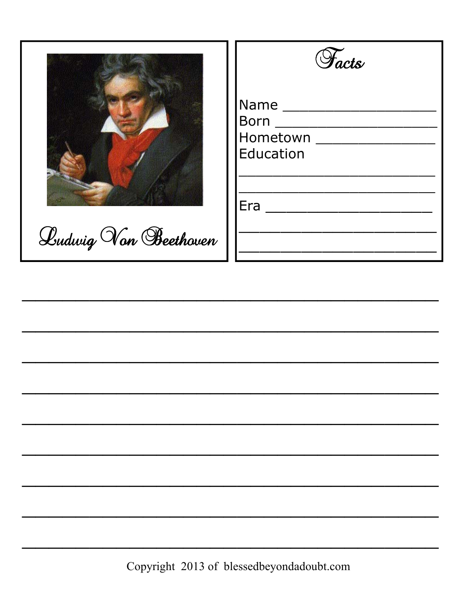

Ludwig Von Beethoven



| <b>Name</b>        |
|--------------------|
| <b>Born</b>        |
| Hometown           |
| Education          |
|                    |
|                    |
| $Era$ <sub>_</sub> |
|                    |
|                    |
|                    |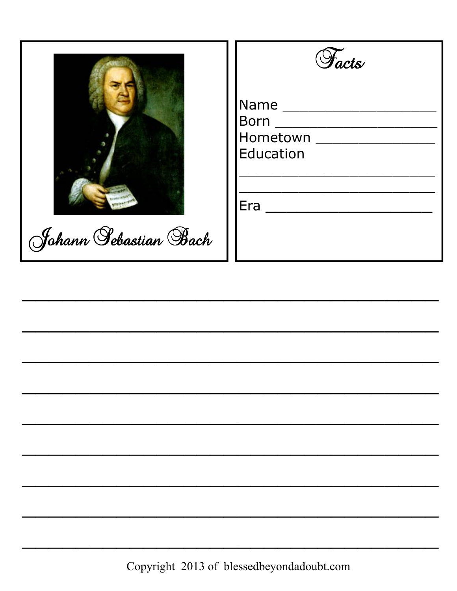|  | Johann Sebastian Bach |  |  |
|--|-----------------------|--|--|

|                                              | $\mathcal{Y}_{ack}$ |
|----------------------------------------------|---------------------|
| Name _______<br>Hometown<br><b>Education</b> |                     |
| Era                                          |                     |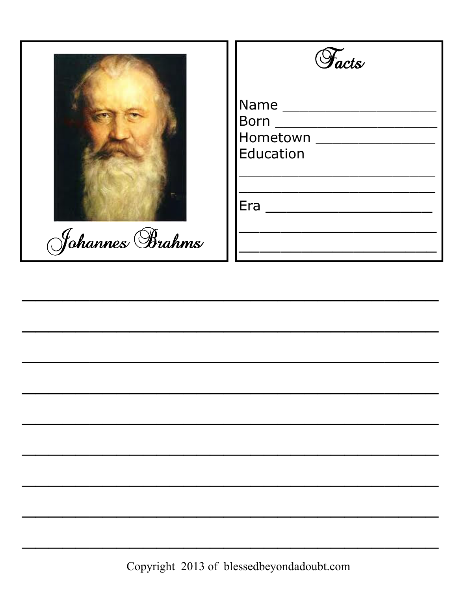

Johannes Brahms

| <b><i>Facts</i></b> |
|---------------------|
|---------------------|

| Name             |  |
|------------------|--|
| Born             |  |
| Hometown         |  |
| <b>Education</b> |  |
|                  |  |
|                  |  |
| Era              |  |
|                  |  |
|                  |  |
|                  |  |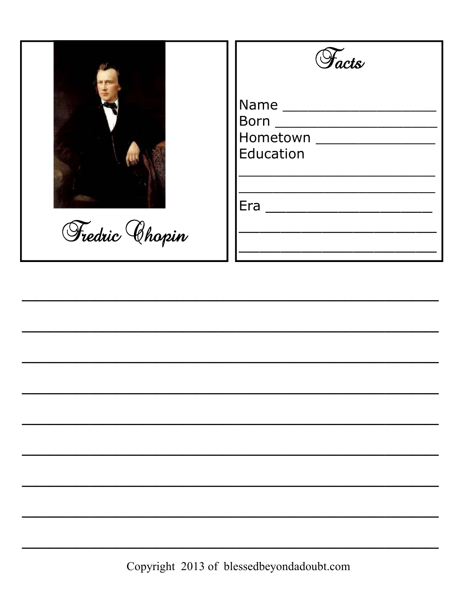

Fredric Chopin

| <b><i>Facts</i></b> |
|---------------------|
|---------------------|

| Vame _________    |
|-------------------|
| Born ____________ |
|                   |
| <b>Education</b>  |
|                   |
|                   |
| $\Xi$ ra          |
|                   |
|                   |
|                   |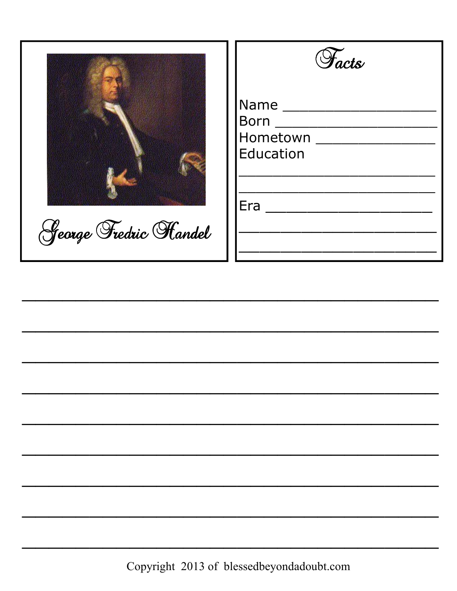



| Name _____________          |                         |  |
|-----------------------------|-------------------------|--|
| $\mathsf{Born} \_\_\_\_\_\$ |                         |  |
|                             | Hometown ______________ |  |
| <b>Education</b>            |                         |  |
|                             |                         |  |
|                             |                         |  |
| Era .                       |                         |  |
|                             |                         |  |
|                             |                         |  |
|                             |                         |  |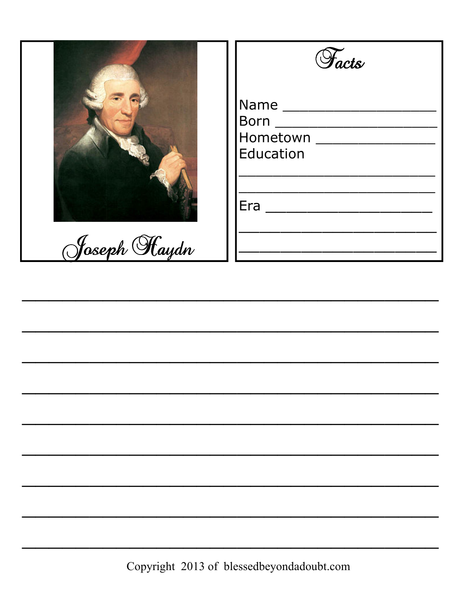

Facts Hometown \_\_\_\_\_\_\_\_\_\_\_\_\_\_\_\_ Education <u> 1989 - Johann John Harry Hermann (f. 1989)</u>  $Era \begin{picture}(150,10) \put(0,0){\dashbox{0.5}(10,0){ }} \put(15,0){\circle{10}} \put(15,0){\circle{10}} \put(15,0){\circle{10}} \put(15,0){\circle{10}} \put(15,0){\circle{10}} \put(15,0){\circle{10}} \put(15,0){\circle{10}} \put(15,0){\circle{10}} \put(15,0){\circle{10}} \put(15,0){\circle{10}} \put(15,0){\circle{10}} \put(15,0){\circle{10}} \put(15,0){\circle{10}} \put($ <u> 1990 - Johann Barbara, martin a</u>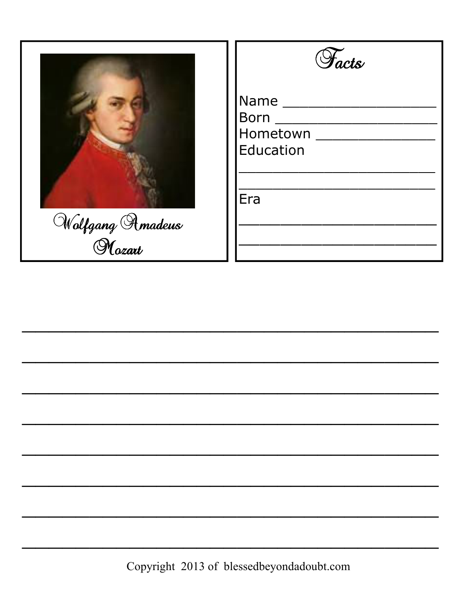

| <i>Facts</i>                |
|-----------------------------|
| Name<br>Born ______________ |
| Hometown<br>Education       |
| Era                         |
|                             |
|                             |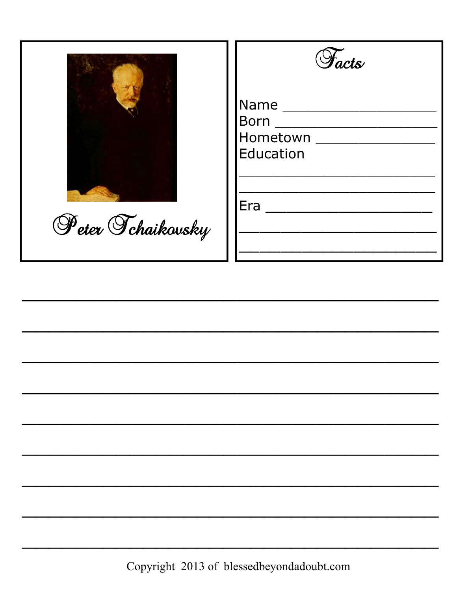

Peter Tchaikovsky

| $Name \_$             |
|-----------------------|
| Born ____________     |
|                       |
| <b>Education</b>      |
|                       |
|                       |
| $\bar{\mathsf{e}}$ ra |
|                       |
|                       |
|                       |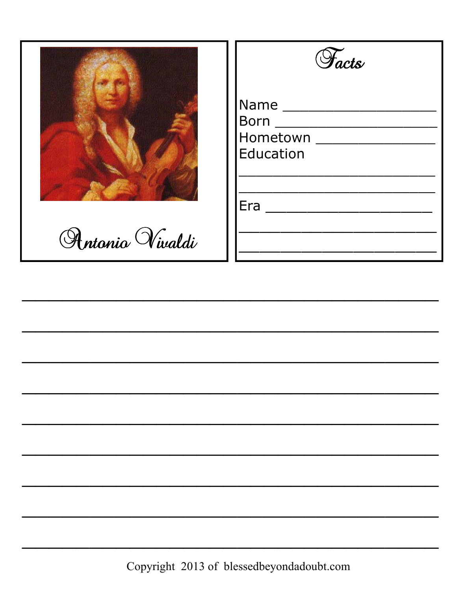

Antonio Vivaldi

| <b><i>Facts</i></b> |  |
|---------------------|--|
|                     |  |

| Name ______ |  |
|-------------|--|
| <b>Born</b> |  |
| Hometown    |  |
| Education   |  |
|             |  |
|             |  |
| Era         |  |
|             |  |
|             |  |
|             |  |